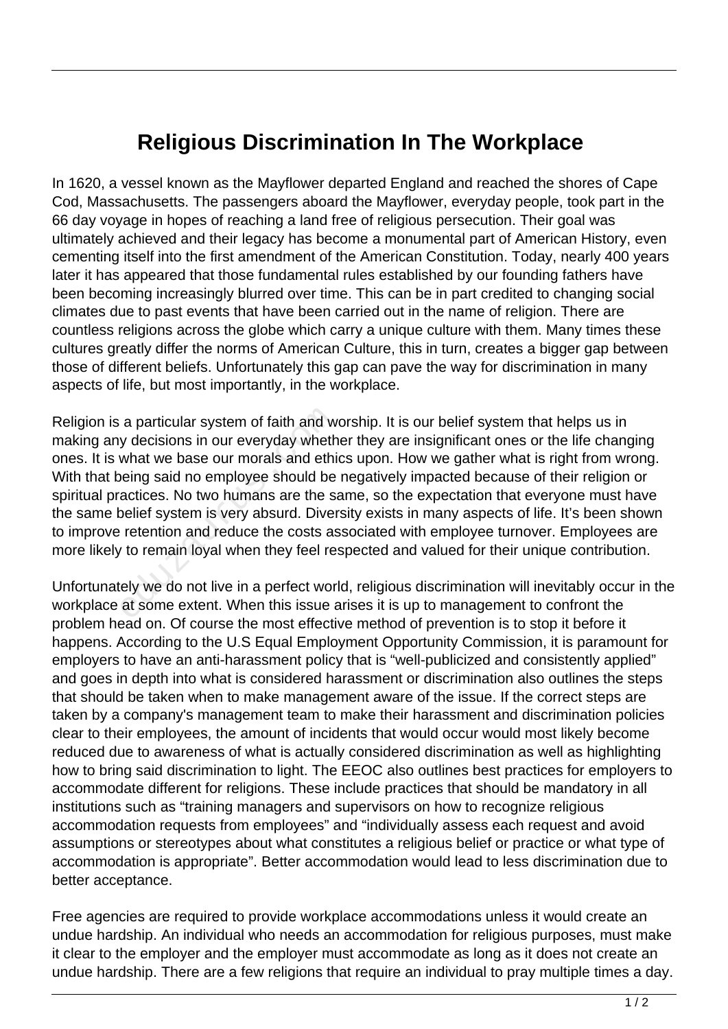## **Religious Discrimination In The Workplace**

In 1620, a vessel known as the Mayflower departed England and reached the shores of Cape Cod, Massachusetts. The passengers aboard the Mayflower, everyday people, took part in the 66 day voyage in hopes of reaching a land free of religious persecution. Their goal was ultimately achieved and their legacy has become a monumental part of American History, even cementing itself into the first amendment of the American Constitution. Today, nearly 400 years later it has appeared that those fundamental rules established by our founding fathers have been becoming increasingly blurred over time. This can be in part credited to changing social climates due to past events that have been carried out in the name of religion. There are countless religions across the globe which carry a unique culture with them. Many times these cultures greatly differ the norms of American Culture, this in turn, creates a bigger gap between those of different beliefs. Unfortunately this gap can pave the way for discrimination in many aspects of life, but most importantly, in the workplace.

Religion is a particular system of faith and worship. It is our belief system that helps us in making any decisions in our everyday whether they are insignificant ones or the life changing ones. It is what we base our morals and ethics upon. How we gather what is right from wrong. With that being said no employee should be negatively impacted because of their religion or spiritual practices. No two humans are the same, so the expectation that everyone must have the same belief system is very absurd. Diversity exists in many aspects of life. It's been shown to improve retention and reduce the costs associated with employee turnover. Employees are more likely to remain loyal when they feel respected and valued for their unique contribution. a particular system of faith and w<br>y decisions in our everyday wheth<br>what we base our morals and ethi<br>veing said no employee should be<br>actices. No two humans are the s<br>spelief system is very absurd. Diver<br>retention and red

Unfortunately we do not live in a perfect world, religious discrimination will inevitably occur in the workplace at some extent. When this issue arises it is up to management to confront the problem head on. Of course the most effective method of prevention is to stop it before it happens. According to the U.S Equal Employment Opportunity Commission, it is paramount for employers to have an anti-harassment policy that is "well-publicized and consistently applied" and goes in depth into what is considered harassment or discrimination also outlines the steps that should be taken when to make management aware of the issue. If the correct steps are taken by a company's management team to make their harassment and discrimination policies clear to their employees, the amount of incidents that would occur would most likely become reduced due to awareness of what is actually considered discrimination as well as highlighting how to bring said discrimination to light. The EEOC also outlines best practices for employers to accommodate different for religions. These include practices that should be mandatory in all institutions such as "training managers and supervisors on how to recognize religious accommodation requests from employees" and "individually assess each request and avoid assumptions or stereotypes about what constitutes a religious belief or practice or what type of accommodation is appropriate". Better accommodation would lead to less discrimination due to better acceptance.

Free agencies are required to provide workplace accommodations unless it would create an undue hardship. An individual who needs an accommodation for religious purposes, must make it clear to the employer and the employer must accommodate as long as it does not create an undue hardship. There are a few religions that require an individual to pray multiple times a day.